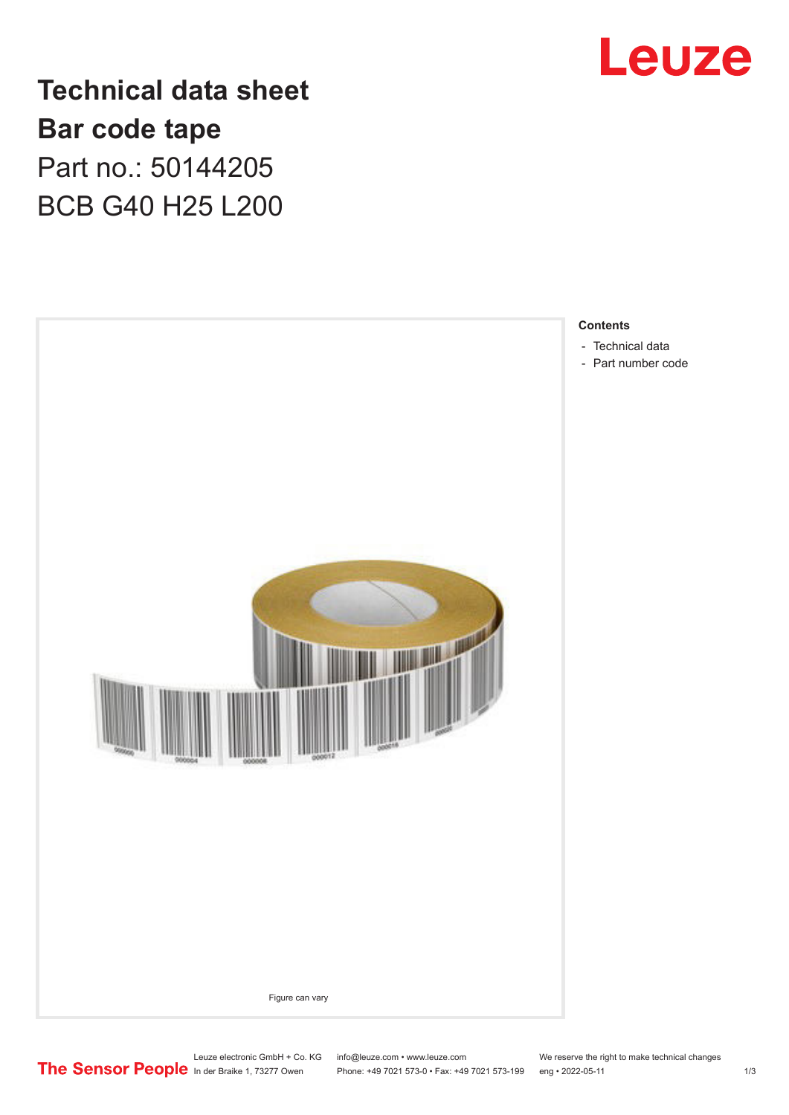

**Technical data sheet Bar code tape** Part no.: 50144205 BCB G40 H25 L200



Leuze electronic GmbH + Co. KG info@leuze.com • www.leuze.com We reserve the right to make technical changes<br>
The Sensor People in der Braike 1, 73277 Owen Phone: +49 7021 573-0 • Fax: +49 7021 573-199 eng • 2022-05-11

Phone: +49 7021 573-0 • Fax: +49 7021 573-199 eng • 2022-05-11 1 2022-05-11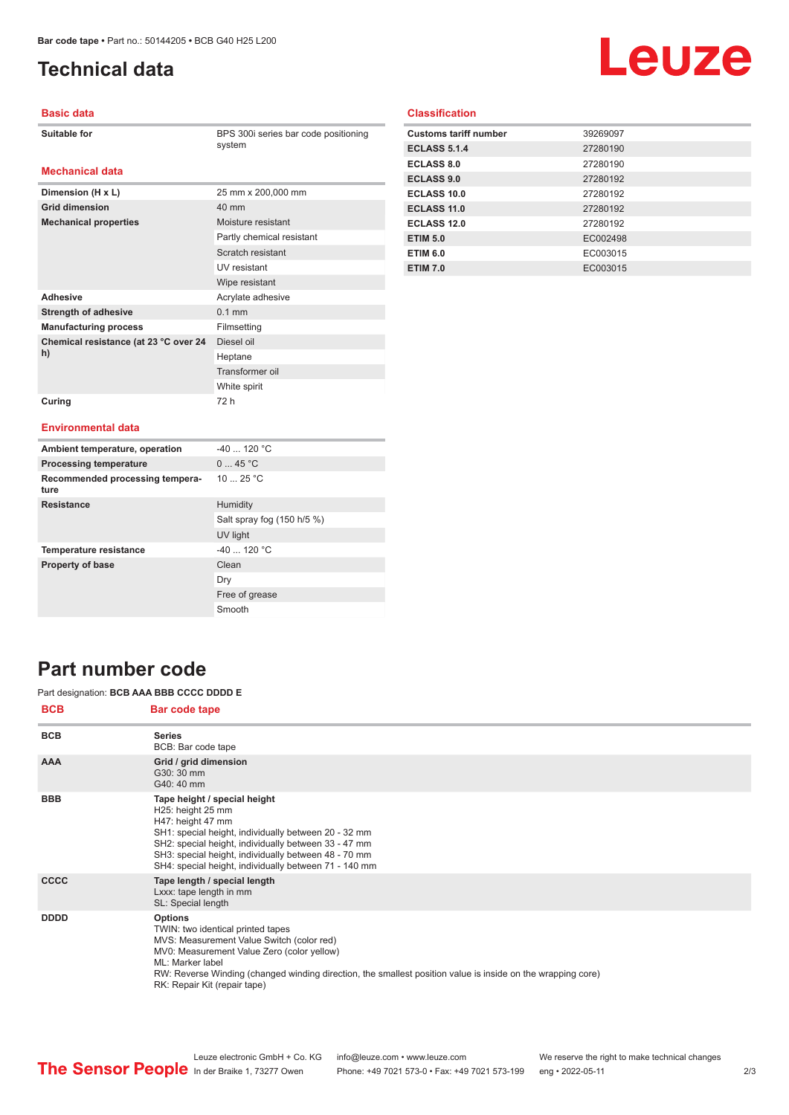# <span id="page-1-0"></span>**Technical data**

# Leuze

### **Basic data**

| Suitable for |  |
|--------------|--|
|--------------|--|

BPS 300i series bar code positioning

#### system

## **Mechanical data**

| Dimension (H x L)                           | 25 mm x 200,000 mm        |
|---------------------------------------------|---------------------------|
| <b>Grid dimension</b>                       | 40 mm                     |
| <b>Mechanical properties</b>                | Moisture resistant        |
|                                             | Partly chemical resistant |
|                                             | Scratch resistant         |
|                                             | UV resistant              |
|                                             | Wipe resistant            |
| <b>Adhesive</b>                             | Acrylate adhesive         |
| <b>Strength of adhesive</b>                 | $0.1$ mm                  |
| <b>Manufacturing process</b>                | Filmsetting               |
| Chemical resistance (at 23 °C over 24<br>h) | Diesel oil                |
|                                             | Heptane                   |
|                                             | Transformer oil           |
|                                             | White spirit              |
| Curing                                      | 72 h                      |

| <b>Classification</b>        |          |
|------------------------------|----------|
| <b>Customs tariff number</b> | 39269097 |
| <b>ECLASS 5.1.4</b>          | 27280190 |

| <b>ECLASS 5.1.4</b> | 27280190 |
|---------------------|----------|
| <b>ECLASS 8.0</b>   | 27280190 |
| <b>ECLASS 9.0</b>   | 27280192 |
| ECLASS 10.0         | 27280192 |
| <b>ECLASS 11.0</b>  | 27280192 |
| <b>ECLASS 12.0</b>  | 27280192 |
| <b>ETIM 5.0</b>     | EC002498 |
| <b>ETIM 6.0</b>     | EC003015 |
| <b>ETIM 7.0</b>     | EC003015 |
|                     |          |

## **Environmental data**

| Ambient temperature, operation          | $-40$ 120 °C               |
|-----------------------------------------|----------------------------|
| <b>Processing temperature</b>           | 045 °C                     |
| Recommended processing tempera-<br>ture | 1025 °C                    |
| <b>Resistance</b>                       | Humidity                   |
|                                         | Salt spray fog (150 h/5 %) |
|                                         | UV light                   |
| <b>Temperature resistance</b>           | $-40$ 120 °C               |
| <b>Property of base</b>                 | Clean                      |
|                                         | Dry                        |
|                                         | Free of grease             |
|                                         | Smooth                     |

# **Part number code**

### Part designation: **BCB AAA BBB CCCC DDDD E**

| <b>BCB</b>  | Bar code tape                                                                                                                                                                                                                                                                                                     |
|-------------|-------------------------------------------------------------------------------------------------------------------------------------------------------------------------------------------------------------------------------------------------------------------------------------------------------------------|
| <b>BCB</b>  | <b>Series</b><br>BCB: Bar code tape                                                                                                                                                                                                                                                                               |
| <b>AAA</b>  | Grid / grid dimension<br>G30: 30 mm<br>G40: 40 mm                                                                                                                                                                                                                                                                 |
| <b>BBB</b>  | Tape height / special height<br>H25: height 25 mm<br>H47: height 47 mm<br>SH1: special height, individually between 20 - 32 mm<br>SH2: special height, individually between 33 - 47 mm<br>SH3: special height, individually between 48 - 70 mm<br>SH4: special height, individually between 71 - 140 mm           |
| <b>CCCC</b> | Tape length / special length<br>Lxxx: tape length in mm<br>SL: Special length                                                                                                                                                                                                                                     |
| <b>DDDD</b> | <b>Options</b><br>TWIN: two identical printed tapes<br>MVS: Measurement Value Switch (color red)<br>MV0: Measurement Value Zero (color yellow)<br>ML: Marker label<br>RW: Reverse Winding (changed winding direction, the smallest position value is inside on the wrapping core)<br>RK: Repair Kit (repair tape) |